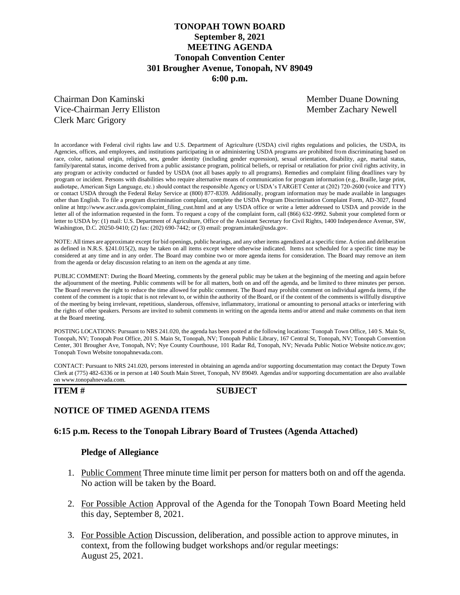## **TONOPAH TOWN BOARD September 8, 2021 MEETING AGENDA Tonopah Convention Center 301 Brougher Avenue, Tonopah, NV 89049 6:00 p.m.**

Chairman Don Kaminski Member Duane Downing Vice-Chairman Jerry Elliston Member Zachary Newell Clerk Marc Grigory

In accordance with Federal civil rights law and U.S. Department of Agriculture (USDA) civil rights regulations and policies, the USDA, its Agencies, offices, and employees, and institutions participating in or administering USDA programs are prohibited from discriminating based on race, color, national origin, religion, sex, gender identity (including gender expression), sexual orientation, disability, age, marital status, family/parental status, income derived from a public assistance program, political beliefs, or reprisal or retaliation for prior civil rights activity, in any program or activity conducted or funded by USDA (not all bases apply to all programs). Remedies and complaint filing deadlines vary by program or incident. Persons with disabilities who require alternative means of communication for program information (e.g., Braille, large print, audiotape, American Sign Language, etc.) should contact the responsible Agency or USDA's TARGET Center at (202) 720-2600 (voice and TTY) or contact USDA through the Federal Relay Service at (800) 877-8339. Additionally, program information may be made available in languages other than English. To file a program discrimination complaint, complete the USDA Program Discrimination Complaint Form, AD-3027, found online at http://www.ascr.usda.gov/complaint\_filing\_cust.html and at any USDA office or write a letter addressed to USDA and provide in the letter all of the information requested in the form. To request a copy of the complaint form, call (866) 632-9992. Submit your completed form or letter to USDA by: (1) mail: U.S. Department of Agriculture, Office of the Assistant Secretary for Civil Rights, 1400 Independence Avenue, SW, Washington, D.C. 20250-9410; (2) fax: (202) 690-7442; or (3) email: program.intake@usda.gov.

NOTE: All times are approximate except for bid openings, public hearings, and any other items agendized at a specific time. Action and deliberation as defined in N.R.S. §241.015(2), may be taken on all items except where otherwise indicated. Items not scheduled for a specific time may be considered at any time and in any order. The Board may combine two or more agenda items for consideration. The Board may remove an item from the agenda or delay discussion relating to an item on the agenda at any time.

PUBLIC COMMENT: During the Board Meeting, comments by the general public may be taken at the beginning of the meeting and again before the adjournment of the meeting. Public comments will be for all matters, both on and off the agenda, and be limited to three minutes per person. The Board reserves the right to reduce the time allowed for public comment. The Board may prohibit comment on individual agenda items, if the content of the comment is a topic that is not relevant to, or within the authority of the Board, or if the content of the comments is willfully disruptive of the meeting by being irrelevant, repetitious, slanderous, offensive, inflammatory, irrational or amounting to personal attacks or interfering with the rights of other speakers. Persons are invited to submit comments in writing on the agenda items and/or attend and make comments on that item at the Board meeting.

POSTING LOCATIONS: Pursuant to NRS 241.020, the agenda has been posted at the following locations: Tonopah Town Office, 140 S. Main St, Tonopah, NV; Tonopah Post Office, 201 S. Main St, Tonopah, NV; Tonopah Public Library, 167 Central St, Tonopah, NV; Tonopah Convention Center, 301 Brougher Ave, Tonopah, NV; Nye County Courthouse, 101 Radar Rd, Tonopah, NV; Nevada Public Notice Website notice.nv.gov; Tonopah Town Website tonopahnevada.com.

CONTACT: Pursuant to NRS 241.020, persons interested in obtaining an agenda and/or supporting documentation may contact the Deputy Town Clerk at (775) 482-6336 or in person at 140 South Main Street, Tonopah, NV 89049. Agendas and/or supporting documentation are also available on www.tonopahnevada.com.

### **ITEM # SUBJECT**

## **NOTICE OF TIMED AGENDA ITEMS**

## **6:15 p.m. Recess to the Tonopah Library Board of Trustees (Agenda Attached)**

## **Pledge of Allegiance**

- 1. Public Comment Three minute time limit per person for matters both on and off the agenda. No action will be taken by the Board.
- 2. For Possible Action Approval of the Agenda for the Tonopah Town Board Meeting held this day, September 8, 2021.
- 3. For Possible Action Discussion, deliberation, and possible action to approve minutes, in context, from the following budget workshops and/or regular meetings: August 25, 2021.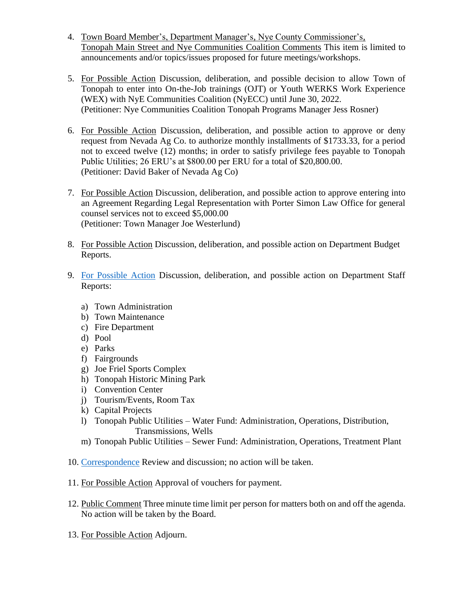- 4. Town Board Member's, Department Manager's, Nye County Commissioner's, Tonopah Main Street and Nye Communities Coalition Comments This item is limited to announcements and/or topics/issues proposed for future meetings/workshops.
- 5. For Possible Action Discussion, deliberation, and possible decision to allow Town of Tonopah to enter into On-the-Job trainings (OJT) or Youth WERKS Work Experience (WEX) with NyE Communities Coalition (NyECC) until June 30, 2022. (Petitioner: Nye Communities Coalition Tonopah Programs Manager Jess Rosner)
- 6. For Possible Action Discussion, deliberation, and possible action to approve or deny request from Nevada Ag Co. to authorize monthly installments of \$1733.33, for a period not to exceed twelve (12) months; in order to satisfy privilege fees payable to Tonopah Public Utilities; 26 ERU's at \$800.00 per ERU for a total of \$20,800.00. (Petitioner: David Baker of Nevada Ag Co)
- 7. For Possible Action Discussion, deliberation, and possible action to approve entering into an Agreement Regarding Legal Representation with Porter Simon Law Office for general counsel services not to exceed \$5,000.00 (Petitioner: Town Manager Joe Westerlund)
- 8. For Possible Action Discussion, deliberation, and possible action on Department Budget Reports.
- 9. [For Possible Action](https://www.tonopahnevada.com/agendas/backup-2021/StaffReports-9-08-21.pdf) Discussion, deliberation, and possible action on Department Staff Reports:
	- a) Town Administration
	- b) Town Maintenance
	- c) Fire Department
	- d) Pool
	- e) Parks
	- f) Fairgrounds
	- g) Joe Friel Sports Complex
	- h) Tonopah Historic Mining Park
	- i) Convention Center
	- j) Tourism/Events, Room Tax
	- k) Capital Projects
	- l) Tonopah Public Utilities Water Fund: Administration, Operations, Distribution, Transmissions, Wells
	- m) Tonopah Public Utilities Sewer Fund: Administration, Operations, Treatment Plant
- 10. [Correspondence](https://www.tonopahnevada.com/agendas/backup-2021/TonopahSCADASystemUpgrade.pdf) Review and discussion; no action will be taken.
- 11. For Possible Action Approval of vouchers for payment.
- 12. Public Comment Three minute time limit per person for matters both on and off the agenda. No action will be taken by the Board.
- 13. For Possible Action Adjourn.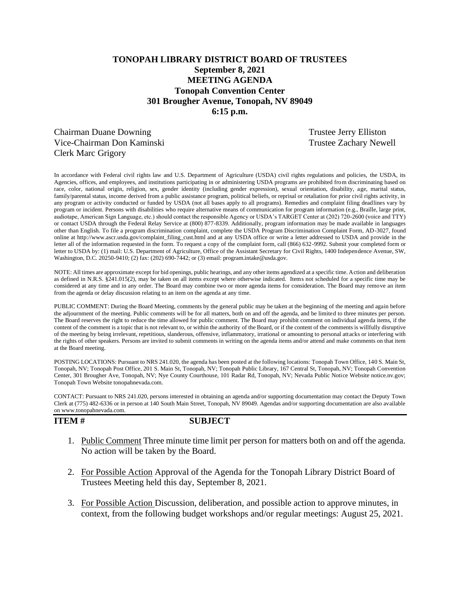# **TONOPAH LIBRARY DISTRICT BOARD OF TRUSTEES September 8, 2021 MEETING AGENDA Tonopah Convention Center 301 Brougher Avenue, Tonopah, NV 89049 6:15 p.m.**

Chairman Duane Downing Trustee Jerry Elliston Vice-Chairman Don Kaminski Trustee Zachary Newell Clerk Marc Grigory

In accordance with Federal civil rights law and U.S. Department of Agriculture (USDA) civil rights regulations and policies, the USDA, its Agencies, offices, and employees, and institutions participating in or administering USDA programs are prohibited from discriminating based on race, color, national origin, religion, sex, gender identity (including gender expression), sexual orientation, disability, age, marital status, family/parental status, income derived from a public assistance program, political beliefs, or reprisal or retaliation for prior civil rights activity, in any program or activity conducted or funded by USDA (not all bases apply to all programs). Remedies and complaint filing deadlines vary by program or incident. Persons with disabilities who require alternative means of communication for program information (e.g., Braille, large print, audiotape, American Sign Language, etc.) should contact the responsible Agency or USDA's TARGET Center at (202) 720-2600 (voice and TTY) or contact USDA through the Federal Relay Service at (800) 877-8339. Additionally, program information may be made available in languages other than English. To file a program discrimination complaint, complete the USDA Program Discrimination Complaint Form, AD-3027, found online at http://www.ascr.usda.gov/complaint\_filing\_cust.html and at any USDA office or write a letter addressed to USDA and provide in the letter all of the information requested in the form. To request a copy of the complaint form, call (866) 632-9992. Submit your completed form or letter to USDA by: (1) mail: U.S. Department of Agriculture, Office of the Assistant Secretary for Civil Rights, 1400 Independence Avenue, SW, Washington, D.C. 20250-9410; (2) fax: (202) 690-7442; or (3) email: program.intake@usda.gov.

NOTE: All times are approximate except for bid openings, public hearings, and any other items agendized at a specific time. Action and deliberation as defined in N.R.S. §241.015(2), may be taken on all items except where otherwise indicated. Items not scheduled for a specific time may be considered at any time and in any order. The Board may combine two or more agenda items for consideration. The Board may remove an item from the agenda or delay discussion relating to an item on the agenda at any time.

PUBLIC COMMENT: During the Board Meeting, comments by the general public may be taken at the beginning of the meeting and again before the adjournment of the meeting. Public comments will be for all matters, both on and off the agenda, and be limited to three minutes per person. The Board reserves the right to reduce the time allowed for public comment. The Board may prohibit comment on individual agenda items, if the content of the comment is a topic that is not relevant to, or within the authority of the Board, or if the content of the comments is willfully disruptive of the meeting by being irrelevant, repetitious, slanderous, offensive, inflammatory, irrational or amounting to personal attacks or interfering with the rights of other speakers. Persons are invited to submit comments in writing on the agenda items and/or attend and make comments on that item at the Board meeting.

POSTING LOCATIONS: Pursuant to NRS 241.020, the agenda has been posted at the following locations: Tonopah Town Office, 140 S. Main St, Tonopah, NV; Tonopah Post Office, 201 S. Main St, Tonopah, NV; Tonopah Public Library, 167 Central St, Tonopah, NV; Tonopah Convention Center, 301 Brougher Ave, Tonopah, NV; Nye County Courthouse, 101 Radar Rd, Tonopah, NV; Nevada Public Notice Website notice.nv.gov; Tonopah Town Website tonopahnevada.com.

CONTACT: Pursuant to NRS 241.020, persons interested in obtaining an agenda and/or supporting documentation may contact the Deputy Town Clerk at (775) 482-6336 or in person at 140 South Main Street, Tonopah, NV 89049. Agendas and/or supporting documentation are also available on www.tonopahnevada.com.

**ITEM # SUBJECT**

- 1. Public Comment Three minute time limit per person for matters both on and off the agenda. No action will be taken by the Board.
- 2. For Possible Action Approval of the Agenda for the Tonopah Library District Board of Trustees Meeting held this day, September 8, 2021.
- 3. For Possible Action Discussion, deliberation, and possible action to approve minutes, in context, from the following budget workshops and/or regular meetings: August 25, 2021.